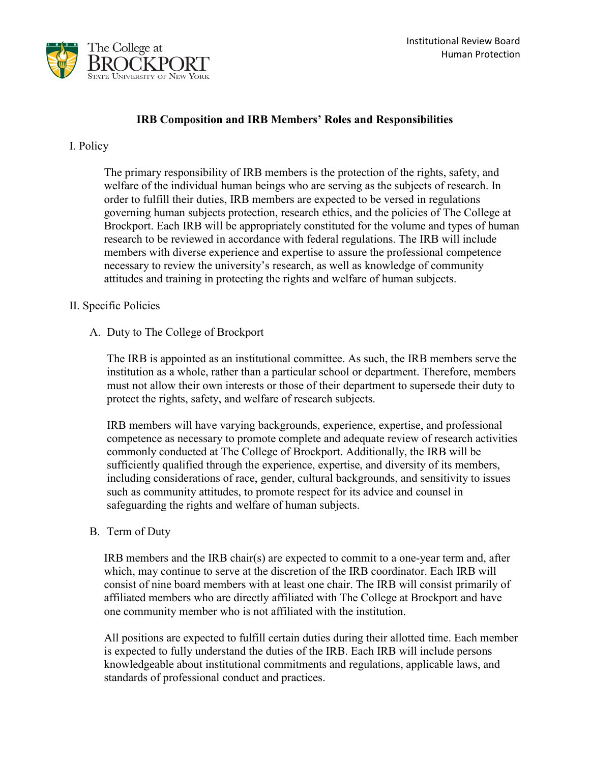

## **IRB Composition and IRB Members' Roles and Responsibilities**

#### I. Policy

 The primary responsibility of IRB members is the protection of the rights, safety, and welfare of the individual human beings who are serving as the subjects of research. In order to fulfill their duties, IRB members are expected to be versed in regulations research to be reviewed in accordance with federal regulations. The IRB will include necessary to review the university's research, as well as knowledge of community governing human subjects protection, research ethics, and the policies of The College at Brockport. Each IRB will be appropriately constituted for the volume and types of human members with diverse experience and expertise to assure the professional competence attitudes and training in protecting the rights and welfare of human subjects.

#### II. Specific Policies

#### A. Duty to The College of Brockport

 The IRB is appointed as an institutional committee. As such, the IRB members serve the institution as a whole, rather than a particular school or department. Therefore, members must not allow their own interests or those of their department to supersede their duty to protect the rights, safety, and welfare of research subjects.

 IRB members will have varying backgrounds, experience, expertise, and professional commonly conducted at The College of Brockport. Additionally, the IRB will be competence as necessary to promote complete and adequate review of research activities sufficiently qualified through the experience, expertise, and diversity of its members, including considerations of race, gender, cultural backgrounds, and sensitivity to issues such as community attitudes, to promote respect for its advice and counsel in safeguarding the rights and welfare of human subjects.

#### B. Term of Duty

IRB members and the IRB chair(s) are expected to commit to a one-year term and, after which, may continue to serve at the discretion of the IRB coordinator. Each IRB will consist of nine board members with at least one chair. The IRB will consist primarily of affiliated members who are directly affiliated with The College at Brockport and have one community member who is not affiliated with the institution.

 is expected to fully understand the duties of the IRB. Each IRB will include persons knowledgeable about institutional commitments and regulations, applicable laws, and All positions are expected to fulfill certain duties during their allotted time. Each member standards of professional conduct and practices.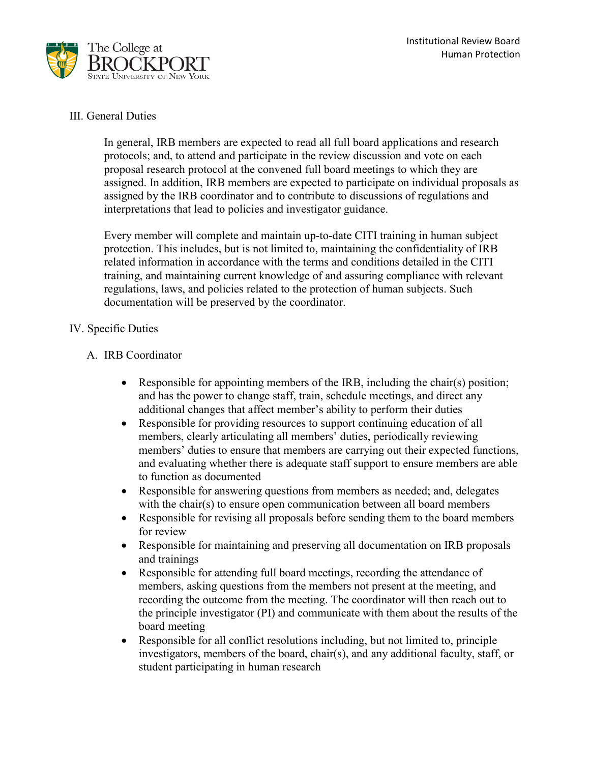

### III. General Duties

 In general, IRB members are expected to read all full board applications and research proposal research protocol at the convened full board meetings to which they are assigned. In addition, IRB members are expected to participate on individual proposals as assigned by the IRB coordinator and to contribute to discussions of regulations and protocols; and, to attend and participate in the review discussion and vote on each interpretations that lead to policies and investigator guidance.

 protection. This includes, but is not limited to, maintaining the confidentiality of IRB Every member will complete and maintain up-to-date CITI training in human subject related information in accordance with the terms and conditions detailed in the CITI training, and maintaining current knowledge of and assuring compliance with relevant regulations, laws, and policies related to the protection of human subjects. Such documentation will be preserved by the coordinator.

## IV. Specific Duties

### A. IRB Coordinator

- and has the power to change staff, train, schedule meetings, and direct any additional changes that affect member's ability to perform their duties • Responsible for appointing members of the IRB, including the chair(s) position;
- Responsible for providing resources to support continuing education of all members, clearly articulating all members' duties, periodically reviewing members' duties to ensure that members are carrying out their expected functions, and evaluating whether there is adequate staff support to ensure members are able to function as documented
- with the chair(s) to ensure open communication between all board members • Responsible for answering questions from members as needed; and, delegates
- Responsible for revising all proposals before sending them to the board members for review
- Responsible for maintaining and preserving all documentation on IRB proposals and trainings
- Responsible for attending full board meetings, recording the attendance of members, asking questions from the members not present at the meeting, and recording the outcome from the meeting. The coordinator will then reach out to the principle investigator (PI) and communicate with them about the results of the board meeting
- Responsible for all conflict resolutions including, but not limited to, principle investigators, members of the board, chair(s), and any additional faculty, staff, or student participating in human research